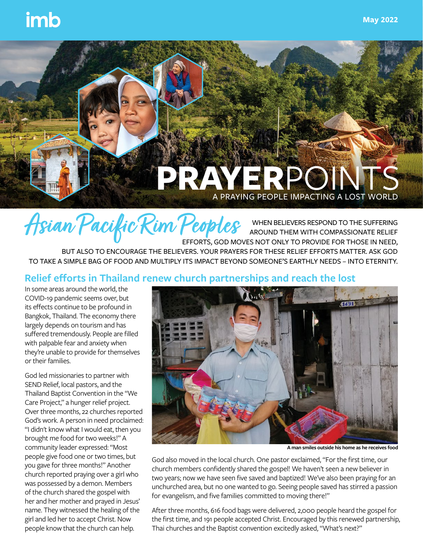# **PRAYER**POINTS A PRAYING PEOPLE IMPACTING A LOST WORLD

**Asian Pacific Rim Peoples** WHEN BELIEVERS RESPOND TO THE SUFFERING AROUND THEM WITH COMPASSIONATE RELIEF EFFORTS, GOD MOVES NOT ONLY TO PROVIDE FOR THOSE IN NEED, BUT ALSO TO ENCOURAGE THE BELIEVERS. YOUR PRAYERS FOR THESE RELIEF EFFORTS MATTER. ASK GOD TO TAKE A SIMPLE BAG OF FOOD AND MULTIPLY ITS IMPACT BEYOND SOMEONE'S EARTHLY NEEDS – INTO ETERNITY.

#### **Relief efforts in Thailand renew church partnerships and reach the lost**

In some areas around the world, the COVID-19 pandemic seems over, but its effects continue to be profound in Bangkok, Thailand. The economy there largely depends on tourism and has suffered tremendously. People are filled with palpable fear and anxiety when they're unable to provide for themselves or their families.

God led missionaries to partner with SEND Relief, local pastors, and the Thailand Baptist Convention in the "We Care Project," a hunger relief project. Over three months, 22 churches reported God's work. A person in need proclaimed: "I didn't know what I would eat, then you brought me food for two weeks!" A community leader expressed: "Most people give food one or two times, but you gave for three months!" Another church reported praying over a girl who was possessed by a demon. Members of the church shared the gospel with her and her mother and prayed in Jesus' name. They witnessed the healing of the girl and led her to accept Christ. Now people know that the church can help.



**A man smiles outside his home as he receives food** 

God also moved in the local church. One pastor exclaimed, "For the first time, our church members confidently shared the gospel! We haven't seen a new believer in two years; now we have seen five saved and baptized! We've also been praying for an unchurched area, but no one wanted to go. Seeing people saved has stirred a passion for evangelism, and five families committed to moving there!"

After three months, 616 food bags were delivered, 2,000 people heard the gospel for the first time, and 191 people accepted Christ. Encouraged by this renewed partnership, Thai churches and the Baptist convention excitedly asked, "What's next?"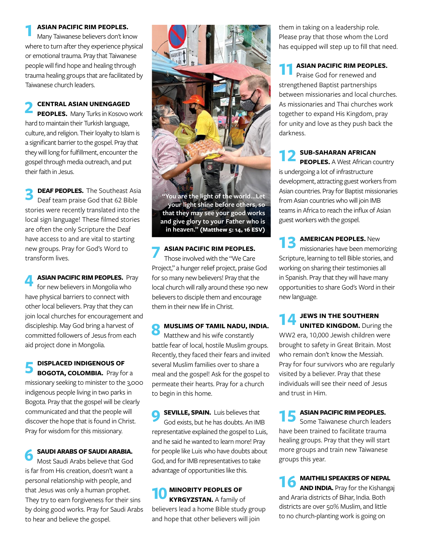**1 ASIAN PACIFIC RIM PEOPLES.**<br>
Many Taiwanese believers don't know where to turn after they experience physical or emotional trauma. Pray that Taiwanese people will find hope and healing through trauma healing groups that are facilitated by Taiwanese church leaders.

**2 CENTRAL ASIAN UNENGAGED PEOPLES.** Many Turks in Kosovo work hard to maintain their Turkish language, culture, and religion. Their loyalty to Islam is a significant barrier to the gospel. Pray that they will long for fulfillment, encounter the gospel through media outreach, and put their faith in Jesus.

**DEAF PEOPLES.** The Southeast Asia Deaf team praise God that 62 Bible stories were recently translated into the local sign language! These filmed stories are often the only Scripture the Deaf have access to and are vital to starting new groups. Pray for God's Word to transform lives.

**4 ASIAN PACIFIC RIM PEOPLES.** Pray for new believers in Mongolia who have physical barriers to connect with other local believers. Pray that they can join local churches for encouragement and discipleship. May God bring a harvest of committed followers of Jesus from each aid project done in Mongolia.

**5 DISPLACED INDIGENOUS OF BOGOTA, COLOMBIA.** Pray for a missionary seeking to minister to the 3,000 indigenous people living in two parks in Bogota. Pray that the gospel will be clearly communicated and that the people will discover the hope that is found in Christ. Pray for wisdom for this missionary.

**6 SAUDI ARABS OF SAUDI ARABIA.**  Most Saudi Arabs believe that God is far from His creation, doesn't want a personal relationship with people, and that Jesus was only a human prophet. They try to earn forgiveness for their sins by doing good works. Pray for Saudi Arabs to hear and believe the gospel.



**"You are the light of the world…Let your light shine before others, so that they may see your good works and give glory to your Father who is in heaven." (Matthew 5: 14, 16 ESV)** 

**7 ASIAN PACIFIC RIM PEOPLES.**<br>Those involved with the "We Care Project," a hunger relief project, praise God for so many new believers! Pray that the local church will rally around these 190 new believers to disciple them and encourage them in their new life in Christ.

**8 MUSLIMS OF TAMIL NADU, INDIA.**  Matthew and his wife constantly battle fear of local, hostile Muslim groups. Recently, they faced their fears and invited several Muslim families over to share a meal and the gospel! Ask for the gospel to permeate their hearts. Pray for a church to begin in this home.

**8 SEVILLE, SPAIN.** Luis believes that God exists, but he has doubts. An IMB representative explained the gospel to Luis, and he said he wanted to learn more! Pray for people like Luis who have doubts about God, and for IMB representatives to take advantage of opportunities like this.

**10 MINORITY PEOPLES OF KYRGYZSTAN.** A family of believers lead a home Bible study group and hope that other believers will join

them in taking on a leadership role. Please pray that those whom the Lord has equipped will step up to fill that need.

**11 ASIAN PACIFIC RIM PEOPLES.**  Praise God for renewed and strengthened Baptist partnerships between missionaries and local churches. As missionaries and Thai churches work together to expand His Kingdom, pray for unity and love as they push back the darkness.

**12 SUB-SAHARAN AFRICAN<br>
<b>PEOPLES.** A West African country is undergoing a lot of infrastructure development, attracting guest workers from Asian countries. Pray for Baptist missionaries from Asian countries who will join IMB teams in Africa to reach the influx of Asian guest workers with the gospel.

**13 AMERICAN PEOPLES.** New missionaries have been memorizing Scripture, learning to tell Bible stories, and working on sharing their testimonies all in Spanish. Pray that they will have many opportunities to share God's Word in their new language.

**14** JEWS IN THE SOUTHERN UNITED KINGDOM. During the WW2 era, 10,000 Jewish children were brought to safety in Great Britain. Most who remain don't know the Messiah. Pray for four survivors who are regularly visited by a believer. Pray that these individuals will see their need of Jesus and trust in Him.

**15 ASIAN PACIFIC RIM PEOPLES.** Some Taiwanese church leaders have been trained to facilitate trauma healing groups. Pray that they will start more groups and train new Taiwanese groups this year.

**16 MAITHILI SPEAKERS OF NEPAL AND INDIA.** Pray for the Kishangaj and Araria districts of Bihar, India. Both districts are over 50% Muslim, and little to no church-planting work is going on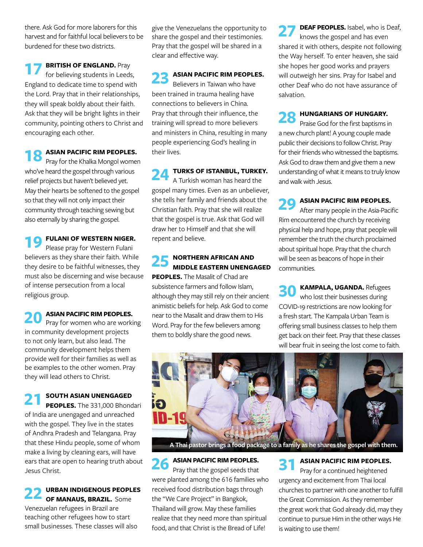there. Ask God for more laborers for this harvest and for faithful local believers to be burdened for these two districts.

**17 BRITISH OF ENGLAND.** Pray for believing students in Leeds, England to dedicate time to spend with the Lord. Pray that in their relationships, they will speak boldly about their faith. Ask that they will be bright lights in their community, pointing others to Christ and encouraging each other.

**18 ASIAN PACIFIC RIM PEOPLES.**<br> **Pray for the Khalka Mongol women** who've heard the gospel through various relief projects but haven't believed yet. May their hearts be softened to the gospel so that they will not only impact their community through teaching sewing but also eternally by sharing the gospel.

**19 FULANI OF WESTERN NIGER.** Please pray for Western Fulani believers as they share their faith. While they desire to be faithful witnesses, they must also be discerning and wise because of intense persecution from a local religious group.

**20 ASIAN PACIFIC RIM PEOPLES.**<br>
Pray for women who are working in community development projects to not only learn, but also lead. The community development helps them provide well for their families as well as be examples to the other women. Pray they will lead others to Christ.

**21 SOUTH ASIAN UNENGAGED PEOPLES.** The 331,000 Bhondari of India are unengaged and unreached with the gospel. They live in the states of Andhra Pradesh and Telangana. Pray that these Hindu people, some of whom make a living by cleaning ears, will have ears that are open to hearing truth about Jesus Christ.

**22 URBAN INDIGENOUS PEOPLES OF MANAUS, BRAZIL.** Some Venezuelan refugees in Brazil are teaching other refugees how to start small businesses. These classes will also

give the Venezuelans the opportunity to share the gospel and their testimonies. Pray that the gospel will be shared in a clear and effective way.

23 **ASIAN PACIFIC RIM PEOPLES.**<br>
Believers in Taiwan who have been trained in trauma healing have connections to believers in China. Pray that through their influence, the training will spread to more believers and ministers in China, resulting in many people experiencing God's healing in their lives.

**24 TURKS OF ISTANBUL, TURKEY.**<br>A Turkish woman has heard the gospel many times. Even as an unbeliever, she tells her family and friends about the Christian faith. Pray that she will realize that the gospel is true. Ask that God will draw her to Himself and that she will repent and believe.

**25 NORTHERN AFRICAN AND MIDDLE EASTERN UNENGAGED** 

**PEOPLES.** The Masalit of Chad are subsistence farmers and follow Islam, although they may still rely on their ancient animistic beliefs for help. Ask God to come near to the Masalit and draw them to His Word. Pray for the few believers among them to boldly share the good news.

**DEAF PEOPLES.** Isabel, who is Deaf, knows the gospel and has even shared it with others, despite not following the Way herself. To enter heaven, she said she hopes her good works and prayers will outweigh her sins. Pray for Isabel and other Deaf who do not have assurance of salvation.

**28 HUNGARIANS OF HUNGARY.** Praise God for the first baptisms in a new church plant! A young couple made public their decisions to follow Christ. Pray for their friends who witnessed the baptisms. Ask God to draw them and give them a new understanding of what it means to truly know and walk with Jesus.

**29 ASIAN PACIFIC RIM PEOPLES.**<br>After many people in the Asia-Pacific Rim encountered the church by receiving physical help and hope, pray that people will remember the truth the church proclaimed about spiritual hope. Pray that the church will be seen as beacons of hope in their communities.

**30 KAMPALA, UGANDA.** Refugees who lost their businesses during COVID-19 restrictions are now looking for a fresh start. The Kampala Urban Team is offering small business classes to help them get back on their feet. Pray that these classes will bear fruit in seeing the lost come to faith.



**26 ASIAN PACIFIC RIM PEOPLES.**<br>
Pray that the gospel seeds that were planted among the 616 families who received food distribution bags through the "We Care Project" in Bangkok, Thailand will grow. May these families realize that they need more than spiritual food, and that Christ is the Bread of Life!

**31 ASIAN PACIFIC RIM PEOPLES.**<br>
Pray for a continued heightened urgency and excitement from Thai local churches to partner with one another to fulfill the Great Commission. As they remember the great work that God already did, may they continue to pursue Him in the other ways He is waiting to use them!